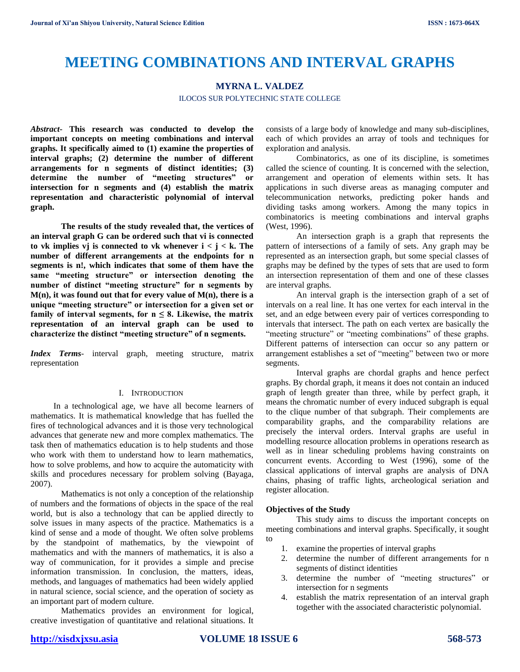# **MEETING COMBINATIONS AND INTERVAL GRAPHS**

# **MYRNA L. VALDEZ**

ILOCOS SUR POLYTECHNIC STATE COLLEGE

*Abstract***- This research was conducted to develop the important concepts on meeting combinations and interval graphs. It specifically aimed to (1) examine the properties of interval graphs; (2) determine the number of different arrangements for n segments of distinct identities; (3) determine the number of "meeting structures" or intersection for n segments and (4) establish the matrix representation and characteristic polynomial of interval graph.**

**The results of the study revealed that, the vertices of an interval graph G can be ordered such that vi is connected**  to vk implies vj is connected to vk whenever  $i < j < k$ . The **number of different arrangements at the endpoints for n segments is n!, which indicates that some of them have the same "meeting structure" or intersection denoting the number of distinct "meeting structure" for n segments by M(n), it was found out that for every value of M(n), there is a unique "meeting structure" or intersection for a given set or**  family of interval segments, for  $n \leq 8$ . Likewise, the matrix **representation of an interval graph can be used to characterize the distinct "meeting structure" of n segments.**

*Index Terms*- interval graph, meeting structure, matrix representation

## I. INTRODUCTION

In a technological age, we have all become learners of mathematics. It is mathematical knowledge that has fuelled the fires of technological advances and it is those very technological advances that generate new and more complex mathematics. The task then of mathematics education is to help students and those who work with them to understand how to learn mathematics, how to solve problems, and how to acquire the automaticity with skills and procedures necessary for problem solving (Bayaga, 2007).

Mathematics is not only a conception of the relationship of numbers and the formations of objects in the space of the real world, but is also a technology that can be applied directly to solve issues in many aspects of the practice. Mathematics is a kind of sense and a mode of thought. We often solve problems by the standpoint of mathematics, by the viewpoint of mathematics and with the manners of mathematics, it is also a way of communication, for it provides a simple and precise information transmission. In conclusion, the matters, ideas, methods, and languages of mathematics had been widely applied in natural science, social science, and the operation of society as an important part of modern culture.

Mathematics provides an environment for logical, creative investigation of quantitative and relational situations. It consists of a large body of knowledge and many sub-disciplines, each of which provides an array of tools and techniques for exploration and analysis.

Combinatorics, as one of its discipline, is sometimes called the science of counting. It is concerned with the selection, arrangement and operation of elements within sets. It has applications in such diverse areas as managing computer and telecommunication networks, predicting poker hands and dividing tasks among workers. Among the many topics in combinatorics is meeting combinations and interval graphs (West, 1996).

An intersection graph is a graph that represents the pattern of intersections of a family of sets. Any graph may be represented as an intersection graph, but some special classes of graphs may be defined by the types of sets that are used to form an intersection representation of them and one of these classes are interval graphs.

An interval graph is the intersection graph of a set of intervals on a real line. It has one vertex for each interval in the set, and an edge between every pair of vertices corresponding to intervals that intersect. The path on each vertex are basically the "meeting structure" or "meeting combinations" of these graphs. Different patterns of intersection can occur so any pattern or arrangement establishes a set of "meeting" between two or more segments.

Interval graphs are chordal graphs and hence perfect graphs. By chordal graph, it means it does not contain an induced graph of length greater than three, while by perfect graph, it means the chromatic number of every induced subgraph is equal to the clique number of that subgraph. Their complements are comparability graphs, and the comparability relations are precisely the interval orders. Interval graphs are useful in modelling resource allocation problems in operations research as well as in linear scheduling problems having constraints on concurrent events. According to West (1996), some of the classical applications of interval graphs are analysis of DNA chains, phasing of traffic lights, archeological seriation and register allocation.

## **Objectives of the Study**

This study aims to discuss the important concepts on meeting combinations and interval graphs. Specifically, it sought to

- 1. examine the properties of interval graphs
- 2. determine the number of different arrangements for n segments of distinct identities
- 3. determine the number of "meeting structures" or intersection for n segments
- 4. establish the matrix representation of an interval graph together with the associated characteristic polynomial.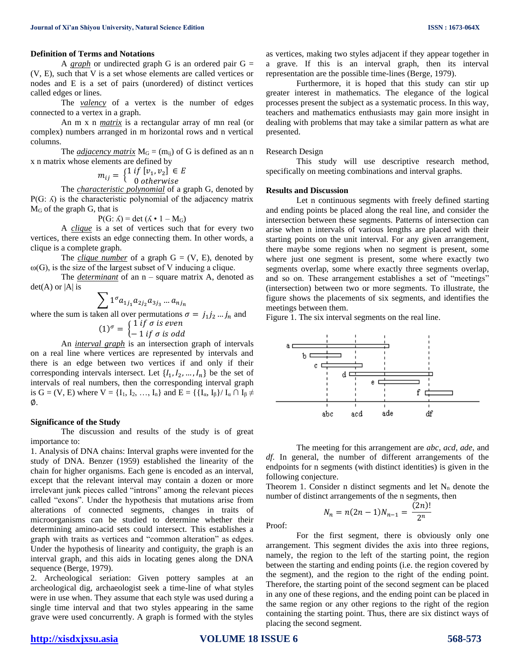## **Definition of Terms and Notations**

A *graph* or undirected graph G is an ordered pair  $G =$ (V, E), such that V is a set whose elements are called vertices or nodes and E is a set of pairs (unordered) of distinct vertices called edges or lines.

The *valency* of a vertex is the number of edges connected to a vertex in a graph.

An m x n *matrix* is a rectangular array of mn real (or complex) numbers arranged in m horizontal rows and n vertical columns.

The *adjacency matrix*  $M<sub>G</sub> = (m<sub>ii</sub>)$  of G is defined as an n x n matrix whose elements are defined by

$$
m_{ij} = \begin{cases} 1 & \text{if } [v_1, v_2] \in E \\ 0 & \text{otherwise} \end{cases}
$$

The *characteristic polynomial* of a graph G, denoted by  $P(G: \Lambda)$  is the characteristic polynomial of the adjacency matrix M<sup>G</sup> of the graph G, that is

 $P(G: \Lambda) = det (\Lambda \cdot 1 - M_G)$ 

A *clique* is a set of vertices such that for every two vertices, there exists an edge connecting them. In other words, a clique is a complete graph.

The *clique number* of a graph  $G = (V, E)$ , denoted by  $\omega(G)$ , is the size of the largest subset of V inducing a clique.

The *determinant* of an  $n -$  square matrix A, denoted as  $det(A)$  or |A| is

$$
\sum 1^{\sigma} a_{1j_1} a_{2j_2} a_{3j_3} \dots a_{nj_n}
$$

where the sum is taken all over permutations  $\sigma = j_1 j_2 ... j_n$  and

$$
(1)^{\sigma} = \begin{cases} 1 \text{ if } \sigma \text{ is even} \\ -1 \text{ if } \sigma \text{ is odd} \end{cases}
$$

An *interval graph* is an intersection graph of intervals on a real line where vertices are represented by intervals and there is an edge between two vertices if and only if their corresponding intervals intersect. Let  $\{I_1, I_2, ..., I_n\}$  be the set of intervals of real numbers, then the corresponding interval graph is G = (V, E) where  $V = \{I_1, I_2, ..., I_n\}$  and  $E = \{\{I_\alpha, I_\beta\} / I_\alpha \cap I_\beta \neq I_\alpha\}$ ∅.

#### **Significance of the Study**

The discussion and results of the study is of great importance to:

1. Analysis of DNA chains: Interval graphs were invented for the study of DNA. Benzer (1959) established the linearity of the chain for higher organisms. Each gene is encoded as an interval, except that the relevant interval may contain a dozen or more irrelevant junk pieces called "introns" among the relevant pieces called "exons". Under the hypothesis that mutations arise from alterations of connected segments, changes in traits of microorganisms can be studied to determine whether their determining amino-acid sets could intersect. This establishes a graph with traits as vertices and "common alteration" as edges. Under the hypothesis of linearity and contiguity, the graph is an interval graph, and this aids in locating genes along the DNA sequence (Berge, 1979).

2. Archeological seriation: Given pottery samples at an archeological dig, archaeologist seek a time-line of what styles were in use when. They assume that each style was used during a single time interval and that two styles appearing in the same grave were used concurrently. A graph is formed with the styles as vertices, making two styles adjacent if they appear together in a grave. If this is an interval graph, then its interval representation are the possible time-lines (Berge, 1979).

Furthermore, it is hoped that this study can stir up greater interest in mathematics. The elegance of the logical processes present the subject as a systematic process. In this way, teachers and mathematics enthusiasts may gain more insight in dealing with problems that may take a similar pattern as what are presented.

### Research Design

This study will use descriptive research method, specifically on meeting combinations and interval graphs.

## **Results and Discussion**

Let n continuous segments with freely defined starting and ending points be placed along the real line, and consider the intersection between these segments. Patterns of intersection can arise when n intervals of various lengths are placed with their starting points on the unit interval. For any given arrangement, there maybe some regions when no segment is present, some where just one segment is present, some where exactly two segments overlap, some where exactly three segments overlap, and so on. These arrangement establishes a set of "meetings" (intersection) between two or more segments. To illustrate, the figure shows the placements of six segments, and identifies the meetings between them.

Figure 1. The six interval segments on the real line.



The meeting for this arrangement are *abc*, *acd*, *ade*, and *df*. In general, the number of different arrangements of the endpoints for n segments (with distinct identities) is given in the following conjecture.

Theorem 1. Consider n distinct segments and let  $N_n$  denote the number of distinct arrangements of the n segments, then

$$
N_n = n(2n - 1)N_{n-1} = \frac{(2n)!}{2^n}
$$

Proof:

For the first segment, there is obviously only one arrangement. This segment divides the axis into three regions, namely, the region to the left of the starting point, the region between the starting and ending points (i.e. the region covered by the segment), and the region to the right of the ending point. Therefore, the starting point of the second segment can be placed in any one of these regions, and the ending point can be placed in the same region or any other regions to the right of the region containing the starting point. Thus, there are six distinct ways of placing the second segment.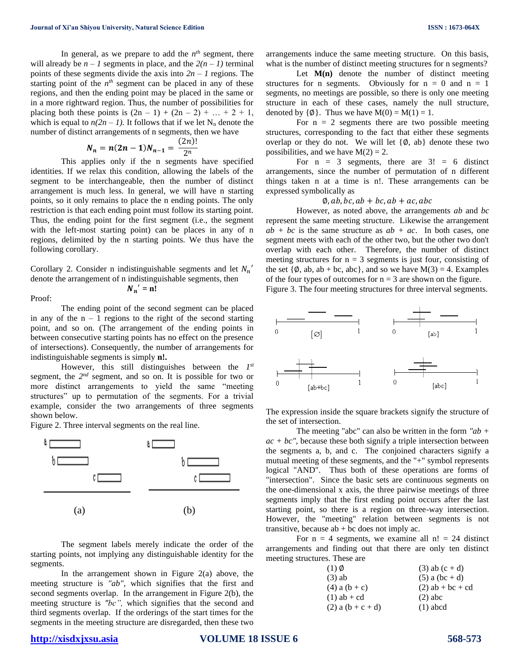In general, as we prepare to add the  $n^{th}$  segment, there will already be  $n - 1$  segments in place, and the  $2(n - 1)$  terminal points of these segments divide the axis into  $2n - 1$  regions. The starting point of the  $n<sup>th</sup>$  segment can be placed in any of these regions, and then the ending point may be placed in the same or in a more rightward region. Thus, the number of possibilities for placing both these points is  $(2n - 1) + (2n - 2) + ... + 2 + 1$ , which is equal to  $n(2n - 1)$ . It follows that if we let N<sub>n</sub> denote the number of distinct arrangements of n segments, then we have

$$
N_n = n(2n-1)N_{n-1} = \frac{(2n)!}{2^n}
$$

This applies only if the n segments have specified identities. If we relax this condition, allowing the labels of the segment to be interchangeable, then the number of distinct arrangement is much less. In general, we will have n starting points, so it only remains to place the n ending points. The only restriction is that each ending point must follow its starting point. Thus, the ending point for the first segment (i.e., the segment with the left-most starting point) can be places in any of n regions, delimited by the n starting points. We thus have the following corollary.

Corollary 2. Consider n indistinguishable segments and let  $N_n'$ denote the arrangement of n indistinguishable segments, then  $N_n' = n!$ 

Proof:

The ending point of the second segment can be placed in any of the  $n - 1$  regions to the right of the second starting point, and so on. (The arrangement of the ending points in between consecutive starting points has no effect on the presence of intersections). Consequently, the number of arrangements for indistinguishable segments is simply **n!.** 

However, this still distinguishes between the *1 st* segment, the  $2^{nd}$  segment, and so on. It is possible for two or more distinct arrangements to yield the same "meeting structures" up to permutation of the segments. For a trivial example, consider the two arrangements of three segments shown below.

Figure 2. Three interval segments on the real line.



The segment labels merely indicate the order of the starting points, not implying any distinguishable identity for the segments.

In the arrangement shown in Figure  $2(a)$  above, the meeting structure is *"ab"*, which signifies that the first and second segments overlap. In the arrangement in Figure 2(b), the meeting structure is *"bc",* which signifies that the second and third segments overlap. If the orderings of the start times for the segments in the meeting structure are disregarded, then these two

arrangements induce the same meeting structure. On this basis, what is the number of distinct meeting structures for n segments?

Let  $M(n)$  denote the number of distinct meeting structures for n segments. Obviously for  $n = 0$  and  $n = 1$ segments, no meetings are possible, so there is only one meeting structure in each of these cases, namely the null structure, denoted by  $\{\emptyset\}$ . Thus we have  $M(0) = M(1) = 1$ .

For  $n = 2$  segments there are two possible meeting structures, corresponding to the fact that either these segments overlap or they do not. We will let  $\{\emptyset, ab\}$  denote these two possibilities, and we have  $M(2) = 2$ .

For  $n = 3$  segments, there are  $3! = 6$  distinct arrangements, since the number of permutation of n different things taken n at a time is n!. These arrangements can be expressed symbolically as

#### $\varphi$ , ab, bc, ab + bc, ab + ac, abc

However, as noted above, the arrangements *ab* and *bc* represent the same meeting structure. Likewise the arrangement  $ab + bc$  is the same structure as  $ab + ac$ . In both cases, one segment meets with each of the other two, but the other two don't overlap with each other. Therefore, the number of distinct meeting structures for  $n = 3$  segments is just four, consisting of the set  $\{\emptyset, ab, ab + bc, abc\}$ , and so we have  $M(3) = 4$ . Examples of the four types of outcomes for  $n = 3$  are shown on the figure. Figure 3. The four meeting structures for three interval segments.



The expression inside the square brackets signify the structure of the set of intersection.

The meeting "abc" can also be written in the form *"ab +*   $ac + bc$ ", because these both signify a triple intersection between the segments a, b, and c. The conjoined characters signify a mutual meeting of these segments, and the "+" symbol represents logical "AND". Thus both of these operations are forms of "intersection". Since the basic sets are continuous segments on the one-dimensional x axis, the three pairwise meetings of three segments imply that the first ending point occurs after the last starting point, so there is a region on three-way intersection. However, the "meeting" relation between segments is not transitive, because  $ab + bc$  does not imply ac.

For  $n = 4$  segments, we examine all  $n! = 24$  distinct arrangements and finding out that there are only ten distinct meeting structures. These are

| $(1)$ Ø               | $(3)$ ab $(c + d)$ |
|-----------------------|--------------------|
| $(3)$ ab              | $(5)$ a (bc + d)   |
| $(4)$ a $(b + c)$     | $(2)$ ab + bc + cd |
| $(1)$ ab + cd         | $(2)$ abc          |
| $(2)$ a $(b + c + d)$ | $(1)$ abcd         |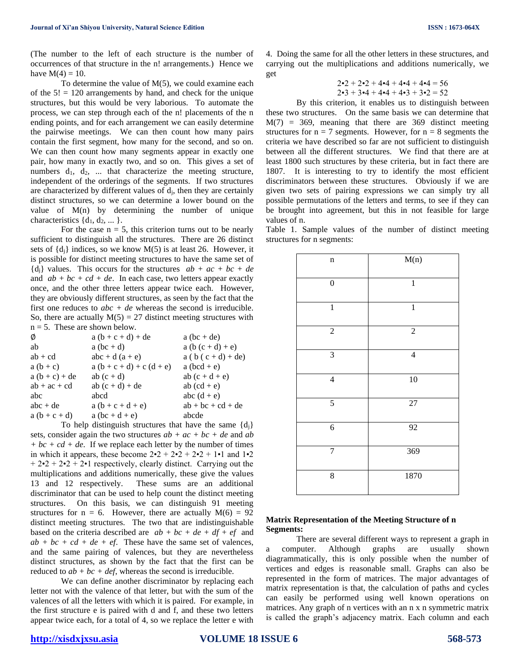(The number to the left of each structure is the number of occurrences of that structure in the n! arrangements.) Hence we have  $M(4) = 10$ .

To determine the value of  $M(5)$ , we could examine each of the  $5! = 120$  arrangements by hand, and check for the unique structures, but this would be very laborious. To automate the process, we can step through each of the n! placements of the n ending points, and for each arrangement we can easily determine the pairwise meetings. We can then count how many pairs contain the first segment, how many for the second, and so on. We can then count how many segments appear in exactly one pair, how many in exactly two, and so on. This gives a set of numbers  $d_1$ ,  $d_2$ , ... that characterize the meeting structure, independent of the orderings of the segments. If two structures are characterized by different values of  $d_i$ , then they are certainly distinct structures, so we can determine a lower bound on the value of M(n) by determining the number of unique characteristics  $\{d_1, d_2, ...\}$ .

For the case  $n = 5$ , this criterion turns out to be nearly sufficient to distinguish all the structures. There are 26 distinct sets of  $\{d_i\}$  indices, so we know  $M(5)$  is at least 26. However, it is possible for distinct meeting structures to have the same set of  ${d_i}$  values. This occurs for the structures  $ab + ac + bc + de$ and  $ab + bc + cd + de$ . In each case, two letters appear exactly once, and the other three letters appear twice each. However, they are obviously different structures, as seen by the fact that the first one reduces to  $abc + de$  whereas the second is irreducible. So, there are actually  $M(5) = 27$  distinct meeting structures with  $n = 5$ . These are shown below.

| Ø<br>$a (b + c + d) + de$                  | $a(bc + de)$         |
|--------------------------------------------|----------------------|
| ab<br>$a(bc + d)$                          | $a (b (c + d) + e)$  |
| $ab + cd$<br>$abc + d(a + e)$              | $a (b (c + d) + de)$ |
| $a (b + c + d) + c (d + e)$<br>$a (b + c)$ | a $(bcd + e)$        |
| $a (b + c) + de$<br>ab $(c + d)$           | ab $(c + d + e)$     |
| $ab + ac + cd$<br>ab $(c + d) + de$        | ab $(cd + e)$        |
| abc<br>abcd                                | abc $(d + e)$        |
| $abc + de$<br>$a (b + c + d + e)$          | $ab + bc + cd + de$  |
| $a(b+c+d)$<br>$a(bc+d+e)$                  | abcde                |

To help distinguish structures that have the same  $\{d_i\}$ sets, consider again the two structures *ab + ac + bc + de* and *ab*   $+ bc + cd + de$ . If we replace each letter by the number of times in which it appears, these become  $2\cdot 2 + 2\cdot 2 + 2\cdot 2 + 1\cdot 1$  and  $1\cdot 2$  $+ 2 \cdot 2 + 2 \cdot 2 + 2 \cdot 1$  respectively, clearly distinct. Carrying out the multiplications and additions numerically, these give the values 13 and 12 respectively. These sums are an additional discriminator that can be used to help count the distinct meeting structures. On this basis, we can distinguish 91 meeting structures for  $n = 6$ . However, there are actually  $M(6) = 92$ distinct meeting structures. The two that are indistinguishable based on the criteria described are  $ab + bc + de + df + ef$  and  $ab + bc + cd + de + ef$ . These have the same set of valences, and the same pairing of valences, but they are nevertheless distinct structures, as shown by the fact that the first can be reduced to  $ab + bc + def$ , whereas the second is irreducible.

We can define another discriminator by replacing each letter not with the valence of that letter, but with the sum of the valences of all the letters with which it is paired. For example, in the first structure e is paired with d and f, and these two letters appear twice each, for a total of 4, so we replace the letter e with

4. Doing the same for all the other letters in these structures, and carrying out the multiplications and additions numerically, we get

$$
2 \cdot 2 + 2 \cdot 2 + 4 \cdot 4 + 4 \cdot 4 + 4 \cdot 4 = 56
$$
  

$$
2 \cdot 3 + 3 \cdot 4 + 4 \cdot 4 + 4 \cdot 3 + 3 \cdot 2 = 52
$$

By this criterion, it enables us to distinguish between these two structures. On the same basis we can determine that  $M(7) = 369$ , meaning that there are 369 distinct meeting structures for  $n = 7$  segments. However, for  $n = 8$  segments the criteria we have described so far are not sufficient to distinguish between all the different structures. We find that there are at least 1800 such structures by these criteria, but in fact there are 1807. It is interesting to try to identify the most efficient discriminators between these structures. Obviously if we are given two sets of pairing expressions we can simply try all possible permutations of the letters and terms, to see if they can be brought into agreement, but this in not feasible for large values of n.

Table 1. Sample values of the number of distinct meeting structures for n segments:

| $\mathbf n$      | M(n)            |
|------------------|-----------------|
| $\boldsymbol{0}$ | $\mathbf{1}$    |
| $\overline{1}$   | $\overline{1}$  |
| $\sqrt{2}$       | $\sqrt{2}$      |
| 3                | $\overline{4}$  |
| $\overline{4}$   | 10              |
| $\overline{5}$   | $\overline{27}$ |
| $\overline{6}$   | 92              |
| $\overline{7}$   | 369             |
| 8                | 1870            |

## **Matrix Representation of the Meeting Structure of n Segments:**

There are several different ways to represent a graph in a computer. Although graphs are usually shown diagrammatically, this is only possible when the number of vertices and edges is reasonable small. Graphs can also be represented in the form of matrices. The major advantages of matrix representation is that, the calculation of paths and cycles can easily be performed using well known operations on matrices. Any graph of n vertices with an n x n symmetric matrix is called the graph's adjacency matrix. Each column and each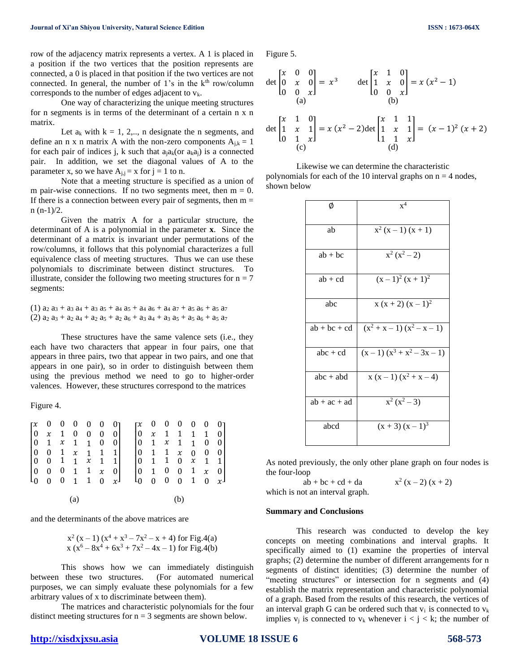row of the adjacency matrix represents a vertex. A 1 is placed in a position if the two vertices that the position represents are connected, a 0 is placed in that position if the two vertices are not connected. In general, the number of  $1$ 's in the  $k<sup>th</sup>$  row/column corresponds to the number of edges adjacent to  $v_k$ .

One way of characterizing the unique meeting structures for n segments is in terms of the determinant of a certain n x n matrix.

Let  $a_k$  with  $k = 1, 2, \ldots$ , n designate the n segments, and define an n x n matrix A with the non-zero components  $A_{i,k} = 1$ for each pair of indices j, k such that  $a_i a_k$  (or  $a_k a_j$ ) is a connected pair. In addition, we set the diagonal values of A to the parameter x, so we have  $A_{j,j} = x$  for  $j = 1$  to n.

Note that a meeting structure is specified as a union of m pair-wise connections. If no two segments meet, then  $m = 0$ . If there is a connection between every pair of segments, then  $m =$  $n (n-1)/2$ .

Given the matrix A for a particular structure, the determinant of A is a polynomial in the parameter **x**. Since the determinant of a matrix is invariant under permutations of the row/columns, it follows that this polynomial characterizes a full equivalence class of meeting structures. Thus we can use these polynomials to discriminate between distinct structures. To illustrate, consider the following two meeting structures for  $n = 7$ segments:

 $(1)$  a<sub>2</sub> a<sub>3</sub> + a<sub>3</sub> a<sub>4</sub> + a<sub>3</sub> a<sub>5</sub> + a<sub>4</sub> a<sub>5</sub> + a<sub>4</sub> a<sub>6</sub> + a<sub>4</sub> a<sub>7</sub> + a<sub>5</sub> a<sub>6</sub> + a<sub>5</sub> a<sub>7</sub>  $(2)$  a<sub>2</sub> a<sub>3</sub> + a<sub>2</sub> a<sub>4</sub> + a<sub>2</sub> a<sub>5</sub> + a<sub>2</sub> a<sub>6</sub> + a<sub>3</sub> a<sub>4</sub> + a<sub>3</sub> a<sub>5</sub> + a<sub>5</sub> a<sub>6</sub> + a<sub>5</sub> a<sub>7</sub>

These structures have the same valence sets (i.e., they each have two characters that appear in four pairs, one that appears in three pairs, two that appear in two pairs, and one that appears in one pair), so in order to distinguish between them using the previous method we need to go to higher-order valences. However, these structures correspond to the matrices

Figure 4.

|  |                   |  |                                                                                                 | $\begin{bmatrix} x & 0 & 0 & 0 & 0 & 0 & 0 \\ 0 & x & 1 & 0 & 0 & 0 & 0 \end{bmatrix} \quad \begin{bmatrix} x & 0 & 0 & 0 & 0 & 0 & 0 \\ 0 & x & 1 & 1 & 1 & 1 & 0 \end{bmatrix}$ |  |     |  |  |
|--|-------------------|--|-------------------------------------------------------------------------------------------------|-----------------------------------------------------------------------------------------------------------------------------------------------------------------------------------|--|-----|--|--|
|  |                   |  | $\begin{bmatrix} 0 & 1 & x & 1 & 1 & 0 & 0 \end{bmatrix}$                                       | $\begin{bmatrix} 0 & 1 & x & 1 & 1 & 0 & 0 \end{bmatrix}$                                                                                                                         |  |     |  |  |
|  |                   |  | $\begin{array}{ ccc cccc }\n0 & 0 & 1 & x & 1 & 1 & 1\\ 0 & 0 & 1 & 1 & x & 1 & 1\n\end{array}$ |                                                                                                                                                                                   |  |     |  |  |
|  |                   |  |                                                                                                 |                                                                                                                                                                                   |  |     |  |  |
|  |                   |  | $\begin{bmatrix} 0 & 0 & 0 & 1 & 1 & x & 0 \end{bmatrix}$                                       |                                                                                                                                                                                   |  |     |  |  |
|  |                   |  | $\begin{bmatrix} 0 & 0 & 0 & 1 & 1 & 0 & x \end{bmatrix}$                                       | $\left[\begin{array}{ccccccc} 0 & 1 & 1 & x & 0 & 0 & 0 \ 0 & 1 & 1 & 0 & x & 1 & 1 \ 0 & 1 & 0 & 0 & 1 & x & 0 \ 0 & 0 & 0 & 0 & 1 & 0 & x \end{array}\right]$                   |  |     |  |  |
|  |                   |  |                                                                                                 |                                                                                                                                                                                   |  |     |  |  |
|  | $\left( a\right)$ |  |                                                                                                 |                                                                                                                                                                                   |  | (b) |  |  |

and the determinants of the above matrices are

$$
x^{2}(x-1) (x^{4} + x^{3} - 7x^{2} - x + 4)
$$
 for Fig.4(a)  

$$
x (x^{6} - 8x^{4} + 6x^{3} + 7x^{2} - 4x - 1)
$$
 for Fig.4(b)

This shows how we can immediately distinguish between these two structures. (For automated numerical purposes, we can simply evaluate these polynomials for a few arbitrary values of x to discriminate between them).

The matrices and characteristic polynomials for the four distinct meeting structures for  $n = 3$  segments are shown below.

$$
\det\begin{bmatrix} x & 0 & 0 \\ 0 & x & 0 \\ 0 & 0 & x \end{bmatrix} = x^3 \qquad \det\begin{bmatrix} x & 1 & 0 \\ 1 & x & 0 \\ 0 & 0 & x \end{bmatrix} = x(x^2 - 1)
$$
  
\n
$$
\det\begin{bmatrix} x & 1 & 0 \\ 1 & x & 1 \\ 0 & 1 & x \end{bmatrix} = x(x^2 - 2)\det\begin{bmatrix} x & 1 & 1 \\ 1 & x & 1 \\ 1 & 1 & x \end{bmatrix} = (x - 1)^2 (x + 2)
$$
  
\n(c) (d)

Likewise we can determine the characteristic polynomials for each of the 10 interval graphs on  $n = 4$  nodes, shown below

| Ø              | $x^4$                        |
|----------------|------------------------------|
| ab             | $x^2(x-1)(x+1)$              |
| $ab + bc$      | $x^2(x^2-2)$                 |
| $ab + cd$      | $(x-1)^2(x+1)^2$             |
| abc            | $x(x+2)(x-1)^2$              |
| $ab + bc + cd$ | $(x^2 + x - 1)(x^2 - x - 1)$ |
| $abc + cd$     | $(x-1)(x^3 + x^2 - 3x - 1)$  |
| $abc + abd$    | $x(x-1)(x^2+x-4)$            |
| $ab + ac + ad$ | $x^2(x^2-3)$                 |
| abcd           | $(x + 3) (x - 1)^3$          |

As noted previously, the only other plane graph on four nodes is the four-loop

 $ab + bc + cd + da$ 2 which is not an interval graph.

$$
x^2(x-2)(x+2)
$$

#### **Summary and Conclusions**

This research was conducted to develop the key concepts on meeting combinations and interval graphs. It specifically aimed to (1) examine the properties of interval graphs; (2) determine the number of different arrangements for n segments of distinct identities; (3) determine the number of "meeting structures" or intersection for n segments and (4) establish the matrix representation and characteristic polynomial of a graph. Based from the results of this research, the vertices of an interval graph G can be ordered such that  $v_i$  is connected to  $v_k$ implies  $v_i$  is connected to  $v_k$  whenever  $i < j < k$ ; the number of